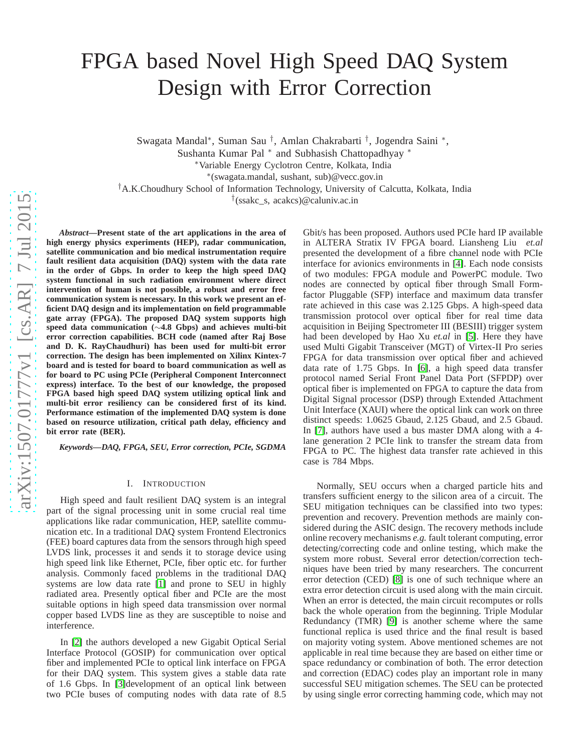# FPGA based Novel High Speed DAQ System Design with Error Correction

Swagata Mandal\*, Suman Sau <sup>†</sup>, Amlan Chakrabarti <sup>†</sup>, Jogendra Saini \*,

Sushanta Kumar Pal \* and Subhasish Chattopadhyay \*

<sup>∗</sup>Variable Energy Cyclotron Centre, Kolkata, India

∗ (swagata.mandal, sushant, sub)@vecc.gov.in

†A.K.Choudhury School of Information Technology, University of Calcutta, Kolkata, India

† (ssakc\_s, acakcs)@caluniv.ac.in

*Abstract***—Present state of the art applications in the area of high energy physics experiments (HEP), radar communication, satellite communication and bio medical instrumentation require fault resilient data acquisition (DAQ) system with the data rate in the order of Gbps. In order to keep the high speed DAQ system functional in such radiation environment where direct intervention of human is not possible, a robust and error fre e communication system is necessary. In this work we present an efficient DAQ design and its implementation on field programmable gate array (FPGA). The proposed DAQ system supports high speed data communication (** ∼**4.8 Gbps) and achieves multi-bit error correction capabilities. BCH code (named after Raj Bose and D. K. RayChaudhuri) has been used for multi-bit error correction. The design has been implemented on Xilinx Kintex-7 board and is tested for board to board communication as well a s for board to PC using PCIe (Peripheral Component Interconnect express) interface. To the best of our knowledge, the proposed FPGA based high speed DAQ system utilizing optical link and multi-bit error resiliency can be considered first of its kind. Performance estimation of the implemented DAQ system is don e based on resource utilization, critical path delay, efficiency and bit error rate (BER).**

<span id="page-0-0"></span>*Keywords* **—***DAQ, FPGA, SEU, Error correction, PCIe, SGDMA*

#### I. INTRODUCTION

High speed and fault resilient DAQ system is an integral part of the signal processing unit in some crucial real time applications like radar communication, HEP, satellite communication etc. In a traditional DAQ system Frontend Electronics (FEE) board captures data from the sensors through high spee d LVDS link, processes it and sends it to storage device using high speed link like Ethernet, PCIe, fiber optic etc. for further analysis. Commonly faced problems in the traditional DAQ systems are low data rate [\[1\]](#page-5-0) and prone to SEU in highly radiated area. Presently optical fiber and PCIe are the most suitable options in high speed data transmission over norma l copper based LVDS line as they are susceptible to noise and interference.

In [\[2\]](#page-5-1) the authors developed a new Gigabit Optical Serial Interface Protocol (GOSIP) for communication over optical fiber and implemented PCIe to optical link interface on FPGA for their DAQ system. This system gives a stable data rate of 1.6 Gbps. In [\[3\]](#page-5-2)development of an optical link between two PCIe buses of computing nodes with data rate of 8.5

Gbit/s has been proposed. Authors used PCIe hard IP availabl e in ALTERA Stratix IV FPGA board. Liansheng Liu *et.al* presented the development of a fibre channel node with PCIe interface for avionics environments in [\[4\]](#page-5-3). Each node consists of two modules: FPGA module and PowerPC module. Two nodes are connected by optical fiber through Small Formfactor Pluggable (SFP) interface and maximum data transfer rate achieved in this case was 2.125 Gbps. A high-speed data transmission protocol over optical fiber for real time data acquisition in Beijing Spectrometer III (BESIII) trigger system had been developed by Hao Xu *et.al* in [\[5\]](#page-5-4). Here they have used Multi Gigabit Transceiver (MGT) of Virtex-II Pro serie s FPGA for data transmission over optical fiber and achieved data rate of 1.75 Gbps. In [\[6\]](#page-5-5), a high speed data transfer protocol named Serial Front Panel Data Port (SFPDP) over optical fiber is implemented on FPGA to capture the data from Digital Signal processor (DSP) through Extended Attachmen t Unit Interface (XAUI) where the optical link can work on thre e distinct speeds: 1.0625 Gbaud, 2.125 Gbaud, and 2.5 Gbaud. In [\[7\]](#page-5-6), authors have used a bus master DMA along with a 4 lane generation 2 PCIe link to transfer the stream data from FPGA to PC. The highest data transfer rate achieved in this case is 784 Mbps.

Normally, SEU occurs when a charged particle hits and transfers sufficient energy to the silicon area of a circuit. The SEU mitigation techniques can be classified into two types: prevention and recovery. Prevention methods are mainly con sidered during the ASIC design. The recovery methods includ e online recovery mechanisms *e.g.* fault tolerant computing, error detecting/correcting code and online testing, which make the system more robust. Several error detection/correction techniques have been tried by many researchers. The concurrent error detection (CED) [\[8\]](#page-5-7) is one of such technique where an extra error detection circuit is used along with the main circuit. When an error is detected, the main circuit recomputes or rolls back the whole operation from the beginning. Triple Modular Redundancy (TMR) [\[9\]](#page-5-8) is another scheme where the same functional replica is used thrice and the final result is base d on majority voting system. Above mentioned schemes are not applicable in real time because they are based on either time or space redundancy or combination of both. The error detectio n and correction (EDAC) codes play an important role in many successful SEU mitigation schemes. The SEU can be protected by using single error correcting hamming code, which may not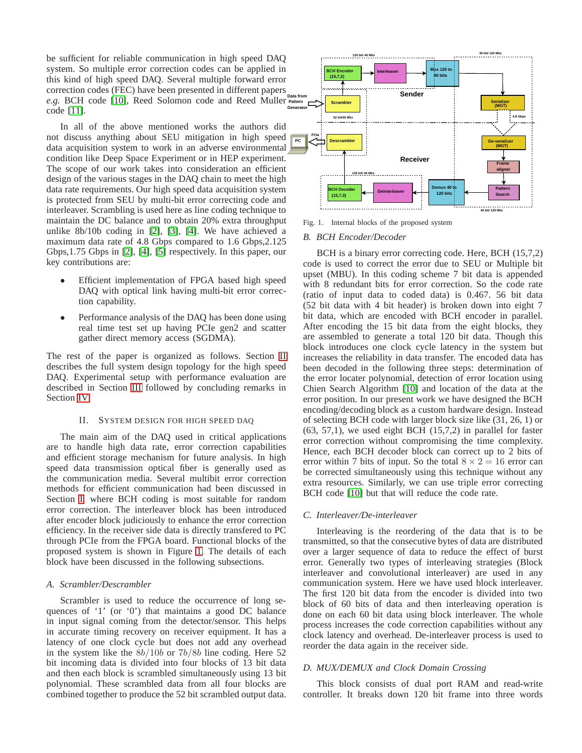be sufficient for reliable communication in high speed DAQ system. So multiple error correction codes can be applied in this kind of high speed DAQ. Several multiple forward error correction codes (FEC) have been presented in different papers *e.g.* BCH code [\[10\]](#page-5-9), Reed Solomon code and Reed Muller **Data from Pattern**  code [\[11\]](#page-5-10). **Generator**

In all of the above mentioned works the authors did not discuss anything about SEU mitigation in high speed data acquisition system to work in an adverse environmental condition like Deep Space Experiment or in HEP experiment. The scope of our work takes into consideration an efficient design of the various stages in the DAQ chain to meet the high data rate requirements. Our high speed data acquisition system is protected from SEU by multi-bit error correcting code and interleaver. Scrambling is used here as line coding technique to maintain the DC balance and to obtain 20% extra throughput unlike 8b/10b coding in [\[2\]](#page-5-1), [\[3\]](#page-5-2), [\[4\]](#page-5-3). We have achieved a maximum data rate of 4.8 Gbps compared to 1.6 Gbps,2.125 Gbps,1.75 Gbps in [\[2\]](#page-5-1), [\[4\]](#page-5-3), [\[5\]](#page-5-4) respectively. In this paper, our key contributions are:

- Efficient implementation of FPGA based high speed DAQ with optical link having multi-bit error correction capability.
- Performance analysis of the DAQ has been done using real time test set up having PCIe gen2 and scatter gather direct memory access (SGDMA).

The rest of the paper is organized as follows. Section [II](#page-1-0) describes the full system design topology for the high speed DAQ. Experimental setup with performance evaluation are described in Section [III](#page-3-0) followed by concluding remarks in Section [IV.](#page-4-0)

## II. SYSTEM DESIGN FOR HIGH SPEED DAQ

<span id="page-1-0"></span>The main aim of the DAQ used in critical applications are to handle high data rate, error correction capabilities and efficient storage mechanism for future analysis. In high speed data transmission optical fiber is generally used as the communication media. Several multibit error correction methods for efficient communication had been discussed in Section [I,](#page-0-0) where BCH coding is most suitable for random error correction. The interleaver block has been introduced after encoder block judiciously to enhance the error correction efficiency. In the receiver side data is directly transfered to PC through PCIe from the FPGA board. Functional blocks of the proposed system is shown in Figure [1.](#page-1-1) The details of each block have been discussed in the following subsections.

# *A. Scrambler/Descrambler*

Scrambler is used to reduce the occurrence of long sequences of '1' (or '0') that maintains a good DC balance in input signal coming from the detector/sensor. This helps in accurate timing recovery on receiver equipment. It has a latency of one clock cycle but does not add any overhead in the system like the  $8b/10b$  or  $7b/8b$  line coding. Here 52 bit incoming data is divided into four blocks of 13 bit data and then each block is scrambled simultaneously using 13 bit polynomial. These scrambled data from all four blocks are combined together to produce the 52 bit scrambled output data.



<span id="page-1-1"></span>Fig. 1. Internal blocks of the proposed system

## *B. BCH Encoder/Decoder*

BCH is a binary error correcting code. Here, BCH (15,7,2) code is used to correct the error due to SEU or Multiple bit upset (MBU). In this coding scheme 7 bit data is appended with 8 redundant bits for error correction. So the code rate (ratio of input data to coded data) is 0.467. 56 bit data (52 bit data with 4 bit header) is broken down into eight 7 bit data, which are encoded with BCH encoder in parallel. After encoding the 15 bit data from the eight blocks, they are assembled to generate a total 120 bit data. Though this block introduces one clock cycle latency in the system but increases the reliability in data transfer. The encoded data has been decoded in the following three steps: determination of the error locater polynomial, detection of error location using Chien Search Algorithm [\[10\]](#page-5-9) and location of the data at the error position. In our present work we have designed the BCH encoding/decoding block as a custom hardware design. Instead of selecting BCH code with larger block size like (31, 26, 1) or (63, 57,1), we used eight BCH (15,7,2) in parallel for faster error correction without compromising the time complexity. Hence, each BCH decoder block can correct up to 2 bits of error within 7 bits of input. So the total  $8 \times 2 = 16$  error can be corrected simultaneously using this technique without any extra resources. Similarly, we can use triple error correcting BCH code [\[10\]](#page-5-9) but that will reduce the code rate.

# *C. Interleaver/De-interleaver*

Interleaving is the reordering of the data that is to be transmitted, so that the consecutive bytes of data are distributed over a larger sequence of data to reduce the effect of burst error. Generally two types of interleaving strategies (Block interleaver and convolutional interleaver) are used in any communication system. Here we have used block interleaver. The first 120 bit data from the encoder is divided into two block of 60 bits of data and then interleaving operation is done on each 60 bit data using block interleaver. The whole process increases the code correction capabilities without any clock latency and overhead. De-interleaver process is used to reorder the data again in the receiver side.

# *D. MUX/DEMUX and Clock Domain Crossing*

This block consists of dual port RAM and read-write controller. It breaks down 120 bit frame into three words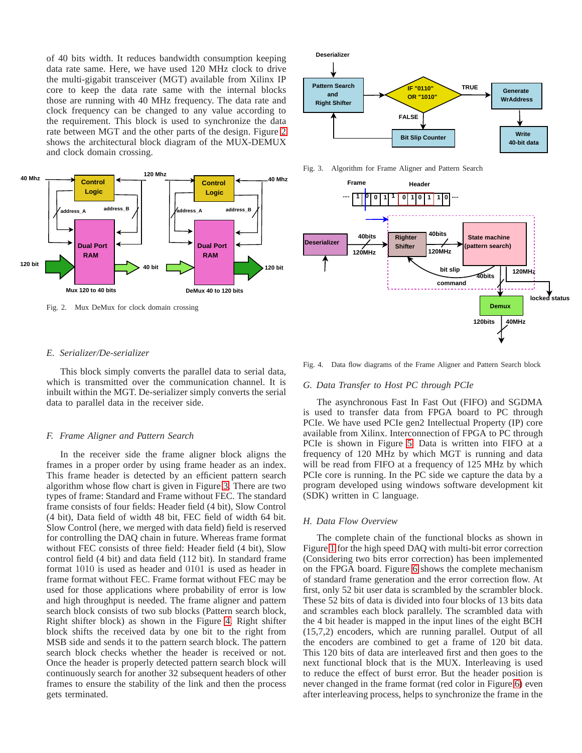of 40 bits width. It reduces bandwidth consumption keeping data rate same. Here, we have used 120 MHz clock to drive the multi-gigabit transceiver (MGT) available from Xilinx IP core to keep the data rate same with the internal blocks those are running with 40 MHz frequency. The data rate and clock frequency can be changed to any value according to the requirement. This block is used to synchronize the data rate between MGT and the other parts of the design. Figure [2](#page-2-0) shows the architectural block diagram of the MUX-DEMUX and clock domain crossing.



<span id="page-2-0"></span>Fig. 2. Mux DeMux for clock domain crossing

#### *E. Serializer/De-serializer*

This block simply converts the parallel data to serial data, which is transmitted over the communication channel. It is inbuilt within the MGT. De-serializer simply converts the serial data to parallel data in the receiver side.

#### <span id="page-2-3"></span>*F. Frame Aligner and Pattern Search*

In the receiver side the frame aligner block aligns the frames in a proper order by using frame header as an index. This frame header is detected by an efficient pattern search algorithm whose flow chart is given in Figure [3.](#page-2-1) There are two types of frame: Standard and Frame without FEC. The standard frame consists of four fields: Header field (4 bit), Slow Control (4 bit), Data field of width 48 bit, FEC field of width 64 bit. Slow Control (here, we merged with data field) field is reserved for controlling the DAQ chain in future. Whereas frame format without FEC consists of three field: Header field (4 bit), Slow control field (4 bit) and data field (112 bit). In standard frame format 1010 is used as header and 0101 is used as header in frame format without FEC. Frame format without FEC may be used for those applications where probability of error is low and high throughput is needed. The frame aligner and pattern search block consists of two sub blocks (Pattern search block, Right shifter block) as shown in the Figure [4.](#page-2-2) Right shifter block shifts the received data by one bit to the right from MSB side and sends it to the pattern search block. The pattern search block checks whether the header is received or not. Once the header is properly detected pattern search block will continuously search for another 32 subsequent headers of other frames to ensure the stability of the link and then the process gets terminated.



<span id="page-2-1"></span>Fig. 3. Algorithm for Frame Aligner and Pattern Search



<span id="page-2-2"></span>Fig. 4. Data flow diagrams of the Frame Aligner and Pattern Search block

### *G. Data Transfer to Host PC through PCIe*

The asynchronous Fast In Fast Out (FIFO) and SGDMA is used to transfer data from FPGA board to PC through PCIe. We have used PCIe gen2 Intellectual Property (IP) core available from Xilinx. Interconnection of FPGA to PC through PCIe is shown in Figure [5.](#page-3-1) Data is written into FIFO at a frequency of 120 MHz by which MGT is running and data will be read from FIFO at a frequency of 125 MHz by which PCIe core is running. In the PC side we capture the data by a program developed using windows software development kit (SDK) written in C language.

## *H. Data Flow Overview*

The complete chain of the functional blocks as shown in Figure [1](#page-1-1) for the high speed DAQ with multi-bit error correction (Considering two bits error correction) has been implemented on the FPGA board. Figure [6](#page-3-2) shows the complete mechanism of standard frame generation and the error correction flow. At first, only 52 bit user data is scrambled by the scrambler block. These 52 bits of data is divided into four blocks of 13 bits data and scrambles each block parallely. The scrambled data with the 4 bit header is mapped in the input lines of the eight BCH (15,7,2) encoders, which are running parallel. Output of all the encoders are combined to get a frame of 120 bit data. This 120 bits of data are interleaved first and then goes to the next functional block that is the MUX. Interleaving is used to reduce the effect of burst error. But the header position is never changed in the frame format (red color in Figure [6\)](#page-3-2) even after interleaving process, helps to synchronize the frame in the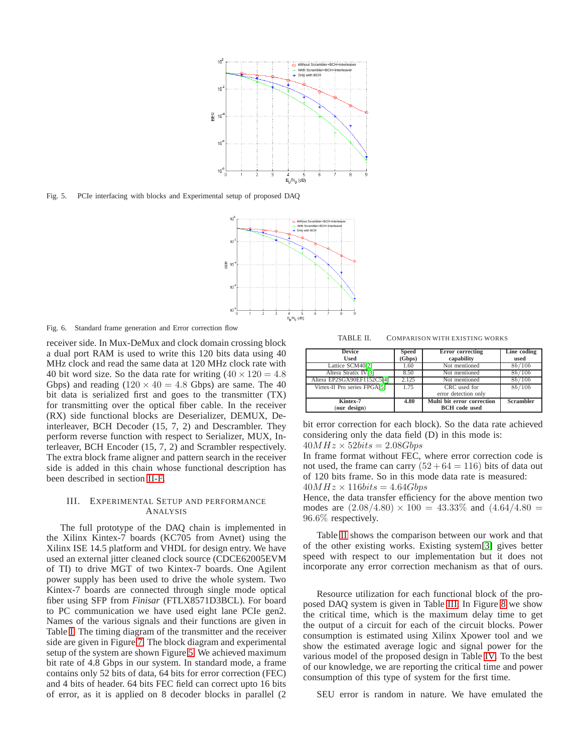

<span id="page-3-1"></span>Fig. 5. PCIe interfacing with blocks and Experimental setup of proposed DAQ



<span id="page-3-2"></span>Fig. 6. Standard frame generation and Error correction flow

receiver side. In Mux-DeMux and clock domain crossing block a dual port RAM is used to write this 120 bits data using 40 MHz clock and read the same data at 120 MHz clock rate with 40 bit word size. So the data rate for writing  $(40 \times 120 = 4.8$ Gbps) and reading  $(120 \times 40 = 4.8 \text{ Gbps})$  are same. The 40 bit data is serialized first and goes to the transmitter (TX) for transmitting over the optical fiber cable. In the receiver (RX) side functional blocks are Deserializer, DEMUX, Deinterleaver, BCH Decoder (15, 7, 2) and Descrambler. They perform reverse function with respect to Serializer, MUX, Interleaver, BCH Encoder (15, 7, 2) and Scrambler respectively. The extra block frame aligner and pattern search in the receiver side is added in this chain whose functional description has been described in section [II-F.](#page-2-3)

# <span id="page-3-0"></span>III. EXPERIMENTAL SETUP AND PERFORMANCE ANALYSIS

The full prototype of the DAQ chain is implemented in the Xilinx Kintex-7 boards (KC705 from Avnet) using the Xilinx ISE 14.5 platform and VHDL for design entry. We have used an external jitter cleaned clock source (CDCE62005EVM of TI) to drive MGT of two Kintex-7 boards. One Agilent power supply has been used to drive the whole system. Two Kintex-7 boards are connected through single mode optical fiber using SFP from *Finisar* (FTLX8571D3BCL). For board to PC communication we have used eight lane PCIe gen2. Names of the various signals and their functions are given in Table [I.](#page-4-1) The timing diagram of the transmitter and the receiver side are given in Figure [7.](#page-4-2) The block diagram and experimental setup of the system are shown Figure [5.](#page-3-1) We achieved maximum bit rate of 4.8 Gbps in our system. In standard mode, a frame contains only 52 bits of data, 64 bits for error correction (FEC) and 4 bits of header. 64 bits FEC field can correct upto 16 bits of error, as it is applied on 8 decoder blocks in parallel (2

<span id="page-3-3"></span>TABLE II. COMPARISON WITH EXISTING WORKS

| <b>Device</b>                | <b>Speed</b> | Error correcting           | Line coding      |
|------------------------------|--------------|----------------------------|------------------|
| <b>Used</b>                  | (Gbps)       | capability                 | used             |
| Lattice SCM40[2]             | 1.60         | Not mentioned              | 8b/10b           |
| Altera Stratix IV[3]         | 8.50         | Not mentioned              | $^{\prime}10b$   |
| Altera EP2SGX90EF1152C5I41   | 2.125        | Not mentioned              | $\sqrt{10b}$     |
| Virtex-II Pro series FPGA[5] | 1.75         | CRC used for               | 8b/10b           |
|                              |              | error detection only       |                  |
| Kintex-7                     | 4.80         | Multi bit error correction | <b>Scrambler</b> |
| (our design)                 |              | <b>BCH</b> code used       |                  |

bit error correction for each block). So the data rate achieved considering only the data field (D) in this mode is:

 $40MHz \times 52bits = 2.08Gbps$ 

In frame format without FEC, where error correction code is not used, the frame can carry  $(52 + 64 = 116)$  bits of data out of 120 bits frame. So in this mode data rate is measured:  $40MHz \times 116bits = 4.64Gbps$ 

Hence, the data transfer efficiency for the above mention two modes are  $(2.08/4.80) \times 100 = 43.33\%$  and  $(4.64/4.80)$ 96.6% respectively.

Table [II](#page-3-3) shows the comparison between our work and that of the other existing works. Existing system[\[3\]](#page-5-2) gives better speed with respect to our implementation but it does not incorporate any error correction mechanism as that of ours.

Resource utilization for each functional block of the proposed DAQ system is given in Table [III.](#page-4-3) In Figure [8](#page-5-11) we show the critical time, which is the maximum delay time to get the output of a circuit for each of the circuit blocks. Power consumption is estimated using Xilinx Xpower tool and we show the estimated average logic and signal power for the various model of the proposed design in Table [IV.](#page-5-12) To the best of our knowledge, we are reporting the critical time and power consumption of this type of system for the first time.

SEU error is random in nature. We have emulated the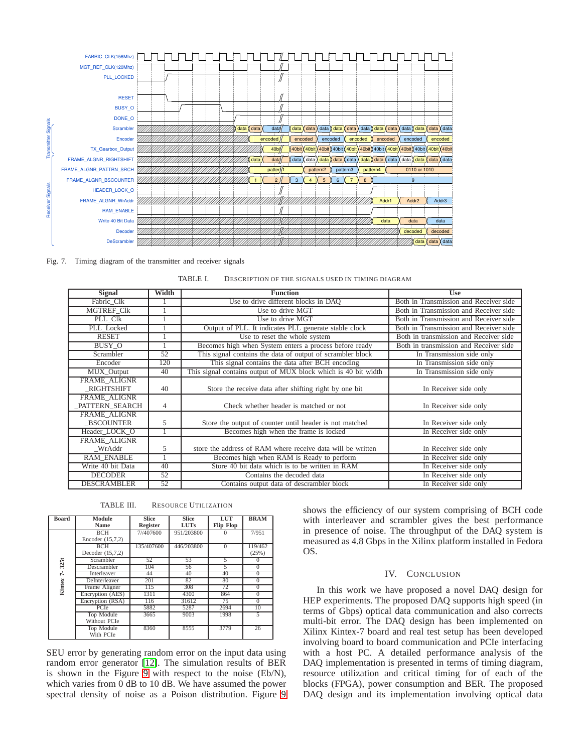

Fig. 7. Timing diagram of the transmitter and receiver signals

<span id="page-4-1"></span>

| TABLE I.<br>DESCRIPTION OF THE SIGNALS USED IN TIMING DIAGRAM |  |
|---------------------------------------------------------------|--|
|---------------------------------------------------------------|--|

<span id="page-4-2"></span>

| <b>Signal</b>       | Width          | <b>Function</b>                                                | Use                                    |
|---------------------|----------------|----------------------------------------------------------------|----------------------------------------|
| Fabric_Clk          |                | Use to drive different blocks in DAO                           | Both in Transmission and Receiver side |
| <b>MGTREF Clk</b>   |                | Use to drive MGT                                               | Both in Transmission and Receiver side |
| PLL Clk             |                | Use to drive MGT                                               | Both in Transmission and Receiver side |
| PLL Locked          |                | Output of PLL. It indicates PLL generate stable clock          | Both in Transmission and Receiver side |
| <b>RESET</b>        |                | Use to reset the whole system                                  | Both in transmission and Receiver side |
| BUSY O              |                | Becomes high when System enters a process before ready         | Both in transmission and Receiver side |
| Scrambler           | 52             | This signal contains the data of output of scrambler block     | In Transmission side only              |
| Encoder             | 120            | This signal contains the data after BCH encoding               | In Transmission side only              |
| MUX_Output          | 40             | This signal contains output of MUX block which is 40 bit width | In Transmission side only              |
| <b>FRAME ALIGNR</b> |                |                                                                |                                        |
| RIGHTSHIFT          | 40             | Store the receive data after shifting right by one bit         | In Receiver side only                  |
| <b>FRAME ALIGNR</b> |                |                                                                |                                        |
| PATTERN SEARCH      | $\overline{4}$ | Check whether header is matched or not                         | In Receiver side only                  |
| <b>FRAME ALIGNR</b> |                |                                                                |                                        |
| <b>BSCOUNTER</b>    | 5              | Store the output of counter until header is not matched        | In Receiver side only                  |
| Header LOCK O       |                | Becomes high when the frame is locked                          | In Receiver side only                  |
| <b>FRAME ALIGNR</b> |                |                                                                |                                        |
| WrAddr              | 5              | store the address of RAM where receive data will be written    | In Receiver side only                  |
| <b>RAM_ENABLE</b>   |                | Becomes high when RAM is Ready to perform                      | In Receiver side only                  |
| Write 40 bit Data   | 40             | Store 40 bit data which is to be written in RAM                | In Receiver side only                  |
| <b>DECODER</b>      | 52             | Contains the decoded data                                      | In Receiver side only                  |
| <b>DESCRAMBLER</b>  | 52             | Contains output data of descrambler block                      | In Receiver side only                  |

| <b>Board</b> | <b>Module</b>           | <b>Slice</b> | <b>Slice</b> | LUT              | <b>BRAM</b> |
|--------------|-------------------------|--------------|--------------|------------------|-------------|
|              | Name                    | Register     | <b>LUTs</b>  | <b>Flip Flop</b> |             |
|              | <b>BCH</b>              | 7//407600    | 951/203800   |                  | 7/951       |
|              | Encoder (15,7,2)        |              |              |                  |             |
|              | <b>BCH</b>              | 135/407600   | 446/203800   | $\Omega$         | 119/462     |
|              | Decoder (15,7,2)        |              |              |                  | (25%)       |
| 325t         | Scrambler               | 52           | 53           | 5                |             |
|              | Descrambler             | 104          | 56           | C                | $\Omega$    |
| ŕ,           | Interleaver             | 44           | 40           | 40               | $\Omega$    |
|              | DeInterleaver           | 201          | 82           | 80               | $\Omega$    |
| Kintex       | Frame Aligner           | 115          | 308          | 72               | $\Omega$    |
|              | Encryption (AES)        | 1311         | 4300         | 864              | $\Omega$    |
|              | Encryption (RSA)        | 116          | 31612        | 75               | $\Omega$    |
|              | PCIe                    | 5882         | 5287         | 2694             | 10          |
|              | Top Module              | 3665         | 9003         | 1998             |             |
|              | Without PCIe            |              |              |                  |             |
|              | Top Module<br>With PCIe | 8360         | 8555         | 3779             | 26          |

<span id="page-4-3"></span>TABLE III. RESOURCE UTILIZATION

SEU error by generating random error on the input data using random error generator [\[12\]](#page-5-13). The simulation results of BER is shown in the Figure [9](#page-5-14) with respect to the noise (Eb/N), which varies from 0 dB to 10 dB. We have assumed the power spectral density of noise as a Poison distribution. Figure [9](#page-5-14) shows the efficiency of our system comprising of BCH code with interleaver and scrambler gives the best performance in presence of noise. The throughput of the DAQ system is measured as 4.8 Gbps in the Xilinx platform installed in Fedora OS.

# IV. CONCLUSION

<span id="page-4-0"></span>In this work we have proposed a novel DAQ design for HEP experiments. The proposed DAQ supports high speed (in terms of Gbps) optical data communication and also corrects multi-bit error. The DAQ design has been implemented on Xilinx Kintex-7 board and real test setup has been developed involving board to board communication and PCIe interfacing with a host PC. A detailed performance analysis of the DAQ implementation is presented in terms of timing diagram, resource utilization and critical timing for of each of the blocks (FPGA), power consumption and BER. The proposed DAQ design and its implementation involving optical data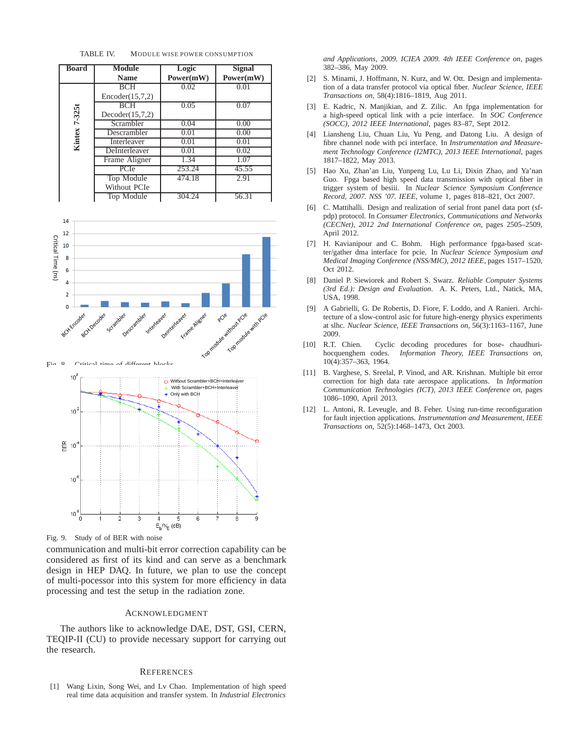<span id="page-5-12"></span>

| TABLE IV. |  | MODULE WISE POWER CONSUMPTION |
|-----------|--|-------------------------------|
|           |  |                               |

| <b>Board</b> | <b>Module</b><br><b>Name</b> | Logic<br>Power(mW) | <b>Signal</b><br>Power(mW) |
|--------------|------------------------------|--------------------|----------------------------|
|              | BCH                          | 0.02               | 0.01                       |
|              | Encoder(15,7,2)              |                    |                            |
|              | <b>BCH</b>                   | 0.05               | 0.07                       |
| $7 - 325t$   | Decoder(15,7,2)              |                    |                            |
|              | Scrambler                    | 0.04               | 0.00                       |
| Kintex       | Descrambler                  | 0.01               | 0.00                       |
|              | <b>Interleaver</b>           | 0.01               | 0.01                       |
|              | DeInterleaver                | 0.01               | 0.02                       |
|              | Frame Aligner                | 1.34               | 1.07                       |
|              | PCIe                         | 253.24             | 45.55                      |
|              | Top Module                   | 474.18             | 2.91                       |
|              | Without PCIe                 |                    |                            |
|              | Top Module                   | 304.24             | 56.31                      |



<span id="page-5-11"></span>

Fig. 9. Study of of BER with noise

<span id="page-5-14"></span>communication and multi-bit error correction capability can be considered as first of its kind and can serve as a benchmark design in HEP DAQ. In future, we plan to use the concept of multi-pocessor into this system for more efficiency in data processing and test the setup in the radiation zone.

# ACKNOWLEDGMENT

The authors like to acknowledge DAE, DST, GSI, CERN, TEQIP-II (CU) to provide necessary support for carrying out the research.

## **REFERENCES**

<span id="page-5-0"></span>[1] Wang Lixin, Song Wei, and Lv Chao. Implementation of high speed real time data acquisition and transfer system. In *Industrial Electronics*

*and Applications, 2009. ICIEA 2009. 4th IEEE Conference on*, pages 382–386, May 2009.

- <span id="page-5-1"></span>[2] S. Minami, J. Hoffmann, N. Kurz, and W. Ott. Design and implementation of a data transfer protocol via optical fiber. *Nuclear Science, IEEE Transactions on*, 58(4):1816–1819, Aug 2011.
- <span id="page-5-2"></span>[3] E. Kadric, N. Manjikian, and Z. Zilic. An fpga implementation for a high-speed optical link with a pcie interface. In *SOC Conference (SOCC), 2012 IEEE International*, pages 83–87, Sept 2012.
- <span id="page-5-3"></span>[4] Liansheng Liu, Chuan Liu, Yu Peng, and Datong Liu. A design of fibre channel node with pci interface. In *Instrumentation and Measurement Technology Conference (I2MTC), 2013 IEEE International*, pages 1817–1822, May 2013.
- <span id="page-5-4"></span>[5] Hao Xu, Zhan'an Liu, Yunpeng Lu, Lu Li, Dixin Zhao, and Ya'nan Guo. Fpga based high speed data transmission with optical fiber in trigger system of besiii. In *Nuclear Science Symposium Conference Record, 2007. NSS '07. IEEE*, volume 1, pages 818–821, Oct 2007.
- <span id="page-5-5"></span>C. Mattihalli. Design and realization of serial front panel data port (sfpdp) protocol. In *Consumer Electronics, Communications and Networks (CECNet), 2012 2nd International Conference on*, pages 2505–2509, April 2012.
- <span id="page-5-6"></span>[7] H. Kavianipour and C. Bohm. High performance fpga-based scatter/gather dma interface for pcie. In *Nuclear Science Symposium and Medical Imaging Conference (NSS/MIC), 2012 IEEE*, pages 1517–1520, Oct 2012.
- <span id="page-5-7"></span>[8] Daniel P. Siewiorek and Robert S. Swarz. *Reliable Computer Systems (3rd Ed.): Design and Evaluation*. A. K. Peters, Ltd., Natick, MA, USA, 1998.
- <span id="page-5-8"></span>[9] A Gabrielli, G. De Robertis, D. Fiore, F. Loddo, and A Ranieri. Architecture of a slow-control asic for future high-energy physics experiments at slhc. *Nuclear Science, IEEE Transactions on*, 56(3):1163–1167, June 2009.
- <span id="page-5-9"></span>[10] R.T. Chien. Cyclic decoding procedures for bose- chaudhurihocquenghem codes. *Information Theory, IEEE Transactions on*, 10(4):357–363, 1964.
- <span id="page-5-10"></span>[11] B. Varghese, S. Sreelal, P. Vinod, and AR. Krishnan. Multiple bit error correction for high data rate aerospace applications. In *Information Communication Technologies (ICT), 2013 IEEE Conference on*, pages 1086–1090, April 2013.
- <span id="page-5-13"></span>[12] L. Antoni, R. Leveugle, and B. Feher. Using run-time reconfiguration for fault injection applications. *Instrumentation and Measurement, IEEE Transactions on*, 52(5):1468–1473, Oct 2003.